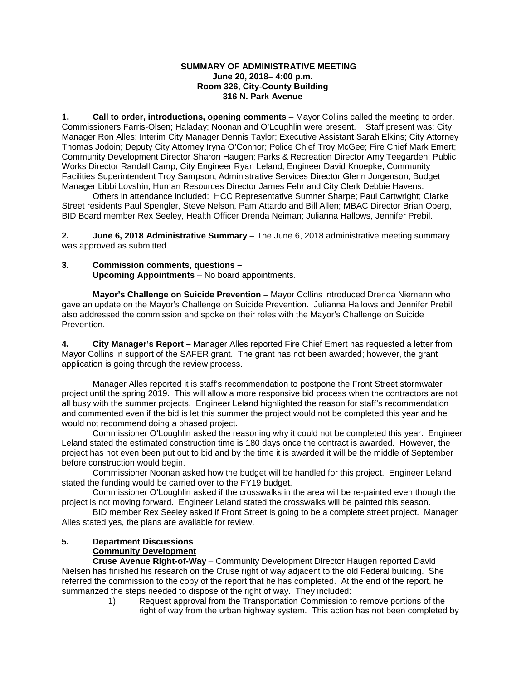#### **SUMMARY OF ADMINISTRATIVE MEETING June 20, 2018– 4:00 p.m. Room 326, City-County Building 316 N. Park Avenue**

**1. Call to order, introductions, opening comments** – Mayor Collins called the meeting to order. Commissioners Farris-Olsen; Haladay; Noonan and O'Loughlin were present. Staff present was: City Manager Ron Alles; Interim City Manager Dennis Taylor; Executive Assistant Sarah Elkins; City Attorney Thomas Jodoin; Deputy City Attorney Iryna O'Connor; Police Chief Troy McGee; Fire Chief Mark Emert; Community Development Director Sharon Haugen; Parks & Recreation Director Amy Teegarden; Public Works Director Randall Camp; City Engineer Ryan Leland; Engineer David Knoepke; Community Facilities Superintendent Troy Sampson; Administrative Services Director Glenn Jorgenson; Budget Manager Libbi Lovshin; Human Resources Director James Fehr and City Clerk Debbie Havens.

Others in attendance included: HCC Representative Sumner Sharpe; Paul Cartwright; Clarke Street residents Paul Spengler, Steve Nelson, Pam Attardo and Bill Allen; MBAC Director Brian Oberg, BID Board member Rex Seeley, Health Officer Drenda Neiman; Julianna Hallows, Jennifer Prebil.

**2. June 6, 2018 Administrative Summary** – The June 6, 2018 administrative meeting summary was approved as submitted.

### **3. Commission comments, questions – Upcoming Appointments** – No board appointments.

**Mayor's Challenge on Suicide Prevention –** Mayor Collins introduced Drenda Niemann who gave an update on the Mayor's Challenge on Suicide Prevention. Julianna Hallows and Jennifer Prebil also addressed the commission and spoke on their roles with the Mayor's Challenge on Suicide Prevention.

**4. City Manager's Report –** Manager Alles reported Fire Chief Emert has requested a letter from Mayor Collins in support of the SAFER grant. The grant has not been awarded; however, the grant application is going through the review process.

Manager Alles reported it is staff's recommendation to postpone the Front Street stormwater project until the spring 2019. This will allow a more responsive bid process when the contractors are not all busy with the summer projects. Engineer Leland highlighted the reason for staff's recommendation and commented even if the bid is let this summer the project would not be completed this year and he would not recommend doing a phased project.

Commissioner O'Loughlin asked the reasoning why it could not be completed this year. Engineer Leland stated the estimated construction time is 180 days once the contract is awarded. However, the project has not even been put out to bid and by the time it is awarded it will be the middle of September before construction would begin.

Commissioner Noonan asked how the budget will be handled for this project. Engineer Leland stated the funding would be carried over to the FY19 budget.

Commissioner O'Loughlin asked if the crosswalks in the area will be re-painted even though the project is not moving forward. Engineer Leland stated the crosswalks will be painted this season.

BID member Rex Seeley asked if Front Street is going to be a complete street project. Manager Alles stated yes, the plans are available for review.

#### **5. Department Discussions Community Development**

**Cruse Avenue Right-of-Way** – Community Development Director Haugen reported David Nielsen has finished his research on the Cruse right of way adjacent to the old Federal building. She referred the commission to the copy of the report that he has completed. At the end of the report, he summarized the steps needed to dispose of the right of way. They included:

1) Request approval from the Transportation Commission to remove portions of the right of way from the urban highway system. This action has not been completed by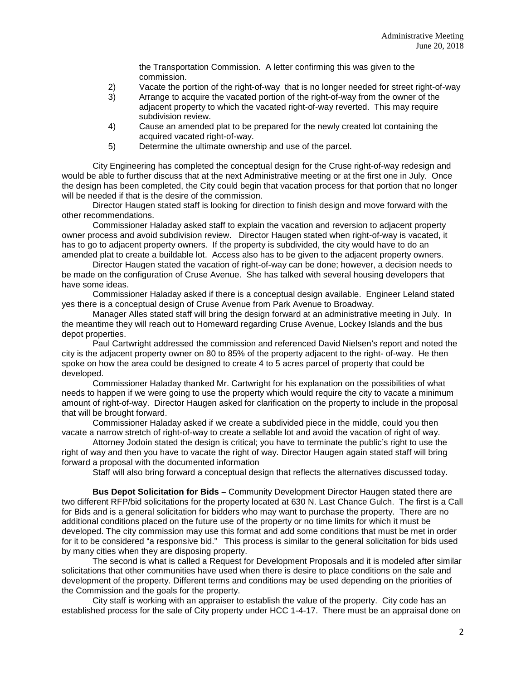the Transportation Commission. A letter confirming this was given to the commission.

- 2) Vacate the portion of the right-of-way that is no longer needed for street right-of-way
- 3) Arrange to acquire the vacated portion of the right-of-way from the owner of the adjacent property to which the vacated right-of-way reverted. This may require subdivision review.
- 4) Cause an amended plat to be prepared for the newly created lot containing the acquired vacated right-of-way.
- 5) Determine the ultimate ownership and use of the parcel.

City Engineering has completed the conceptual design for the Cruse right-of-way redesign and would be able to further discuss that at the next Administrative meeting or at the first one in July. Once the design has been completed, the City could begin that vacation process for that portion that no longer will be needed if that is the desire of the commission.

Director Haugen stated staff is looking for direction to finish design and move forward with the other recommendations.

Commissioner Haladay asked staff to explain the vacation and reversion to adjacent property owner process and avoid subdivision review. Director Haugen stated when right-of-way is vacated, it has to go to adjacent property owners. If the property is subdivided, the city would have to do an amended plat to create a buildable lot. Access also has to be given to the adjacent property owners.

Director Haugen stated the vacation of right-of-way can be done; however, a decision needs to be made on the configuration of Cruse Avenue. She has talked with several housing developers that have some ideas.

Commissioner Haladay asked if there is a conceptual design available. Engineer Leland stated yes there is a conceptual design of Cruse Avenue from Park Avenue to Broadway.

Manager Alles stated staff will bring the design forward at an administrative meeting in July. In the meantime they will reach out to Homeward regarding Cruse Avenue, Lockey Islands and the bus depot properties.

Paul Cartwright addressed the commission and referenced David Nielsen's report and noted the city is the adjacent property owner on 80 to 85% of the property adjacent to the right- of-way. He then spoke on how the area could be designed to create 4 to 5 acres parcel of property that could be developed.

Commissioner Haladay thanked Mr. Cartwright for his explanation on the possibilities of what needs to happen if we were going to use the property which would require the city to vacate a minimum amount of right-of-way. Director Haugen asked for clarification on the property to include in the proposal that will be brought forward.

Commissioner Haladay asked if we create a subdivided piece in the middle, could you then vacate a narrow stretch of right-of-way to create a sellable lot and avoid the vacation of right of way.

Attorney Jodoin stated the design is critical; you have to terminate the public's right to use the right of way and then you have to vacate the right of way. Director Haugen again stated staff will bring forward a proposal with the documented information

Staff will also bring forward a conceptual design that reflects the alternatives discussed today.

**Bus Depot Solicitation for Bids –** Community Development Director Haugen stated there are two different RFP/bid solicitations for the property located at 630 N. Last Chance Gulch. The first is a Call for Bids and is a general solicitation for bidders who may want to purchase the property. There are no additional conditions placed on the future use of the property or no time limits for which it must be developed. The city commission may use this format and add some conditions that must be met in order for it to be considered "a responsive bid." This process is similar to the general solicitation for bids used by many cities when they are disposing property.

The second is what is called a Request for Development Proposals and it is modeled after similar solicitations that other communities have used when there is desire to place conditions on the sale and development of the property. Different terms and conditions may be used depending on the priorities of the Commission and the goals for the property.

City staff is working with an appraiser to establish the value of the property. City code has an established process for the sale of City property under HCC 1-4-17. There must be an appraisal done on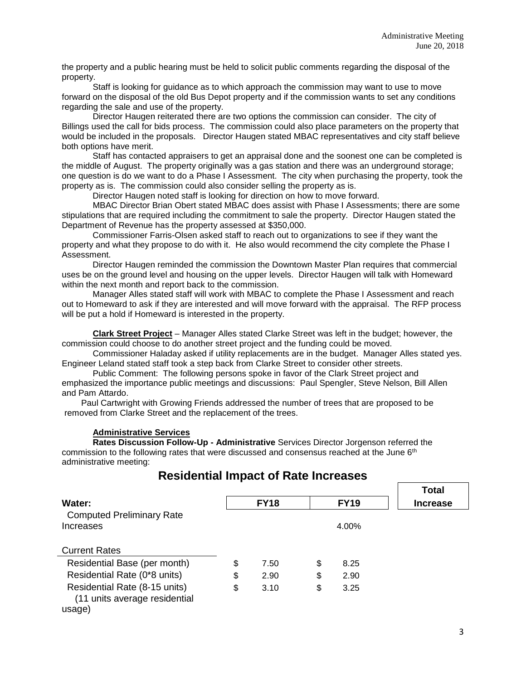the property and a public hearing must be held to solicit public comments regarding the disposal of the property.

Staff is looking for guidance as to which approach the commission may want to use to move forward on the disposal of the old Bus Depot property and if the commission wants to set any conditions regarding the sale and use of the property.

Director Haugen reiterated there are two options the commission can consider. The city of Billings used the call for bids process. The commission could also place parameters on the property that would be included in the proposals. Director Haugen stated MBAC representatives and city staff believe both options have merit.

Staff has contacted appraisers to get an appraisal done and the soonest one can be completed is the middle of August. The property originally was a gas station and there was an underground storage; one question is do we want to do a Phase I Assessment. The city when purchasing the property, took the property as is. The commission could also consider selling the property as is.

Director Haugen noted staff is looking for direction on how to move forward.

MBAC Director Brian Obert stated MBAC does assist with Phase I Assessments; there are some stipulations that are required including the commitment to sale the property. Director Haugen stated the Department of Revenue has the property assessed at \$350,000.

Commissioner Farris-Olsen asked staff to reach out to organizations to see if they want the property and what they propose to do with it. He also would recommend the city complete the Phase I Assessment.

Director Haugen reminded the commission the Downtown Master Plan requires that commercial uses be on the ground level and housing on the upper levels. Director Haugen will talk with Homeward within the next month and report back to the commission.

Manager Alles stated staff will work with MBAC to complete the Phase I Assessment and reach out to Homeward to ask if they are interested and will move forward with the appraisal. The RFP process will be put a hold if Homeward is interested in the property.

**Clark Street Project** – Manager Alles stated Clarke Street was left in the budget; however, the commission could choose to do another street project and the funding could be moved.

Commissioner Haladay asked if utility replacements are in the budget. Manager Alles stated yes. Engineer Leland stated staff took a step back from Clarke Street to consider other streets.

Public Comment: The following persons spoke in favor of the Clark Street project and emphasized the importance public meetings and discussions: Paul Spengler, Steve Nelson, Bill Allen and Pam Attardo.

Paul Cartwright with Growing Friends addressed the number of trees that are proposed to be removed from Clarke Street and the replacement of the trees.

#### **Administrative Services**

**Rates Discussion Follow-Up - Administrative** Services Director Jorgenson referred the commission to the following rates that were discussed and consensus reached at the June 6<sup>th</sup> administrative meeting:

# **Residential Impact of Rate Increases**

|                                  |             |             | <b>Total</b>    |
|----------------------------------|-------------|-------------|-----------------|
| Water:                           | <b>FY18</b> | <b>FY19</b> | <b>Increase</b> |
| <b>Computed Preliminary Rate</b> |             |             |                 |
| Increases                        |             | 4.00%       |                 |
|                                  |             |             |                 |
| <b>Current Rates</b>             |             |             |                 |
| Residential Base (per month)     | \$<br>7.50  | \$<br>8.25  |                 |
| Residential Rate (0*8 units)     | \$<br>2.90  | \$<br>2.90  |                 |
| Residential Rate (8-15 units)    | \$<br>3.10  | \$<br>3.25  |                 |
| (11 units average residential    |             |             |                 |
| usage)                           |             |             |                 |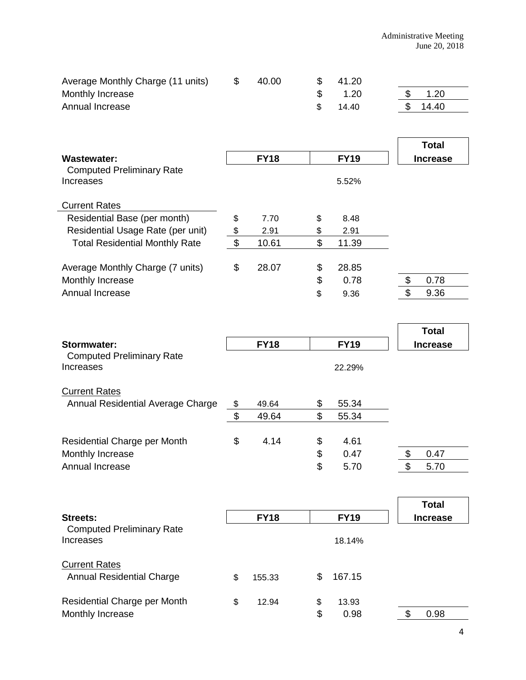| Average Monthly Charge (11 units)                                   | \$                        | 40.00       | \$<br>41.20           |                 |
|---------------------------------------------------------------------|---------------------------|-------------|-----------------------|-----------------|
| Monthly Increase                                                    |                           |             | \$<br>1.20            | \$<br>1.20      |
| Annual Increase                                                     |                           |             | \$<br>14.40           | \$<br>14.40     |
|                                                                     |                           |             |                       |                 |
|                                                                     |                           |             |                       | <b>Total</b>    |
| <b>Wastewater:</b>                                                  |                           | <b>FY18</b> | <b>FY19</b>           | <b>Increase</b> |
| <b>Computed Preliminary Rate</b><br><b>Increases</b>                |                           |             | 5.52%                 |                 |
| <b>Current Rates</b>                                                |                           |             |                       |                 |
| Residential Base (per month)                                        | \$                        | 7.70        | \$<br>8.48            |                 |
| Residential Usage Rate (per unit)                                   | \$                        | 2.91        | \$<br>2.91            |                 |
| <b>Total Residential Monthly Rate</b>                               | $\boldsymbol{\mathsf{S}}$ | 10.61       | \$<br>11.39           |                 |
| Average Monthly Charge (7 units)                                    | \$                        | 28.07       | \$<br>28.85           |                 |
| Monthly Increase                                                    |                           |             | \$<br>0.78            | \$<br>0.78      |
| Annual Increase                                                     |                           |             | \$<br>9.36            | \$<br>9.36      |
|                                                                     |                           |             |                       | <b>Total</b>    |
|                                                                     |                           |             |                       |                 |
| <b>Stormwater:</b><br><b>Computed Preliminary Rate</b><br>Increases |                           | <b>FY18</b> | <b>FY19</b><br>22.29% | <b>Increase</b> |
| <b>Current Rates</b>                                                |                           |             |                       |                 |
| Annual Residential Average Charge                                   | \$                        | 49.64       | \$<br>55.34           |                 |
|                                                                     | \$                        | 49.64       | \$<br>55.34           |                 |
| Residential Charge per Month                                        | \$                        | 4.14        | \$<br>4.61            |                 |
| Monthly Increase                                                    |                           |             | \$<br>0.47            | \$<br>0.47      |
| Annual Increase                                                     |                           |             | \$<br>5.70            | \$<br>5.70      |
|                                                                     |                           |             |                       | <b>Total</b>    |
| <b>Streets:</b>                                                     |                           | <b>FY18</b> | <b>FY19</b>           | <b>Increase</b> |
| <b>Computed Preliminary Rate</b><br><b>Increases</b>                |                           |             | 18.14%                |                 |
| <b>Current Rates</b>                                                |                           |             |                       |                 |
| <b>Annual Residential Charge</b>                                    | \$                        | 155.33      | \$<br>167.15          |                 |
| Residential Charge per Month                                        | \$                        | 12.94       | \$<br>13.93           |                 |
| Monthly Increase                                                    |                           |             | \$<br>0.98            | \$<br>0.98      |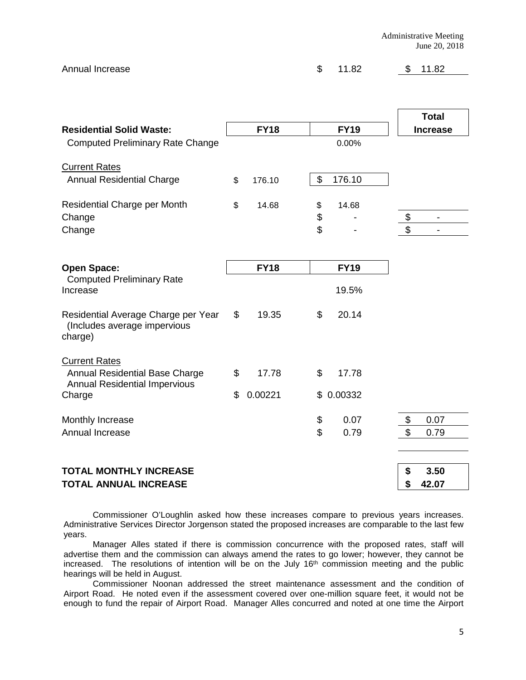Administrative Meeting June 20, 2018

| Annual Increase | \$ 11.82 | \$11.82 |
|-----------------|----------|---------|
|                 |          |         |

|                                                                                  |               |               |                | <b>Total</b>             |  |
|----------------------------------------------------------------------------------|---------------|---------------|----------------|--------------------------|--|
| <b>Residential Solid Waste:</b>                                                  | <b>FY18</b>   | <b>FY19</b>   |                | <b>Increase</b>          |  |
| <b>Computed Preliminary Rate Change</b>                                          |               | 0.00%         |                |                          |  |
| <b>Current Rates</b>                                                             |               |               |                |                          |  |
| <b>Annual Residential Charge</b>                                                 | \$<br>176.10  | \$<br>176.10  |                |                          |  |
| Residential Charge per Month                                                     | \$<br>14.68   | \$<br>14.68   |                |                          |  |
| Change                                                                           |               | \$            | \$             | $\overline{\phantom{a}}$ |  |
| Change                                                                           |               | \$            | \$             |                          |  |
|                                                                                  |               |               |                |                          |  |
| <b>Open Space:</b><br><b>Computed Preliminary Rate</b><br>Increase               | <b>FY18</b>   | <b>FY19</b>   |                |                          |  |
|                                                                                  |               | 19.5%         |                |                          |  |
| Residential Average Charge per Year<br>(Includes average impervious<br>charge)   | \$<br>19.35   | \$<br>20.14   |                |                          |  |
| <b>Current Rates</b>                                                             |               |               |                |                          |  |
| Annual Residential Base Charge<br><b>Annual Residential Impervious</b><br>Charge | \$<br>17.78   | \$<br>17.78   |                |                          |  |
|                                                                                  | \$<br>0.00221 | \$<br>0.00332 |                |                          |  |
| Monthly Increase                                                                 |               | \$<br>0.07    | \$             | 0.07                     |  |
| Annual Increase                                                                  |               | \$<br>0.79    | $\mathfrak{S}$ | 0.79                     |  |
|                                                                                  |               |               |                |                          |  |
| <b>TOTAL MONTHLY INCREASE</b>                                                    |               |               | \$             | 3.50                     |  |
| <b>TOTAL ANNUAL INCREASE</b>                                                     |               |               | \$             | 42.07                    |  |

Commissioner O'Loughlin asked how these increases compare to previous years increases. Administrative Services Director Jorgenson stated the proposed increases are comparable to the last few years.

Manager Alles stated if there is commission concurrence with the proposed rates, staff will advertise them and the commission can always amend the rates to go lower; however, they cannot be increased. The resolutions of intention will be on the July 16<sup>th</sup> commission meeting and the public hearings will be held in August.

Commissioner Noonan addressed the street maintenance assessment and the condition of Airport Road. He noted even if the assessment covered over one-million square feet, it would not be enough to fund the repair of Airport Road. Manager Alles concurred and noted at one time the Airport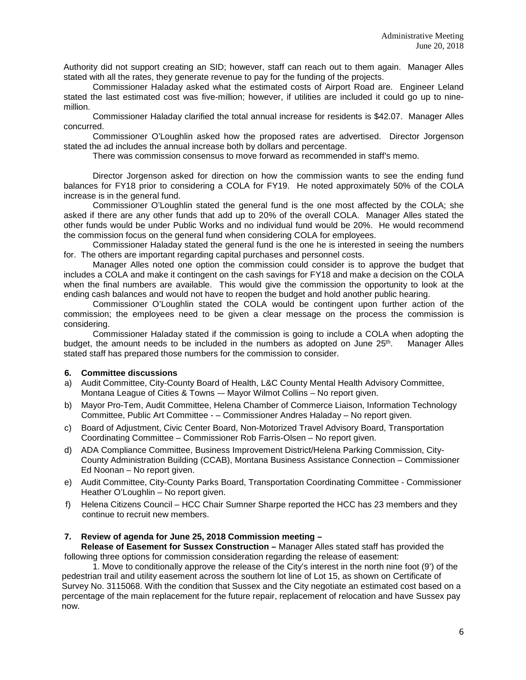Authority did not support creating an SID; however, staff can reach out to them again. Manager Alles stated with all the rates, they generate revenue to pay for the funding of the projects.

Commissioner Haladay asked what the estimated costs of Airport Road are. Engineer Leland stated the last estimated cost was five-million; however, if utilities are included it could go up to ninemillion.

Commissioner Haladay clarified the total annual increase for residents is \$42.07. Manager Alles concurred.

Commissioner O'Loughlin asked how the proposed rates are advertised. Director Jorgenson stated the ad includes the annual increase both by dollars and percentage.

There was commission consensus to move forward as recommended in staff's memo.

Director Jorgenson asked for direction on how the commission wants to see the ending fund balances for FY18 prior to considering a COLA for FY19. He noted approximately 50% of the COLA increase is in the general fund.

Commissioner O'Loughlin stated the general fund is the one most affected by the COLA; she asked if there are any other funds that add up to 20% of the overall COLA. Manager Alles stated the other funds would be under Public Works and no individual fund would be 20%. He would recommend the commission focus on the general fund when considering COLA for employees.

Commissioner Haladay stated the general fund is the one he is interested in seeing the numbers for. The others are important regarding capital purchases and personnel costs.

Manager Alles noted one option the commission could consider is to approve the budget that includes a COLA and make it contingent on the cash savings for FY18 and make a decision on the COLA when the final numbers are available. This would give the commission the opportunity to look at the ending cash balances and would not have to reopen the budget and hold another public hearing.

Commissioner O'Loughlin stated the COLA would be contingent upon further action of the commission; the employees need to be given a clear message on the process the commission is considering.

Commissioner Haladay stated if the commission is going to include a COLA when adopting the budget, the amount needs to be included in the numbers as adopted on June  $25<sup>th</sup>$ . Manager Alles stated staff has prepared those numbers for the commission to consider.

#### **6. Committee discussions**

- a) Audit Committee, City-County Board of Health, L&C County Mental Health Advisory Committee, Montana League of Cities & Towns -– Mayor Wilmot Collins – No report given.
- b) Mayor Pro-Tem, Audit Committee, Helena Chamber of Commerce Liaison, Information Technology Committee, Public Art Committee - – Commissioner Andres Haladay – No report given.
- c) Board of Adjustment, Civic Center Board, Non-Motorized Travel Advisory Board, Transportation Coordinating Committee – Commissioner Rob Farris-Olsen – No report given.
- d) ADA Compliance Committee, Business Improvement District/Helena Parking Commission, City-County Administration Building (CCAB), Montana Business Assistance Connection – Commissioner Ed Noonan – No report given.
- e) Audit Committee, City-County Parks Board, Transportation Coordinating Committee Commissioner Heather O'Loughlin – No report given.
- f) Helena Citizens Council HCC Chair Sumner Sharpe reported the HCC has 23 members and they continue to recruit new members.

## **7. Review of agenda for June 25, 2018 Commission meeting –**

**Release of Easement for Sussex Construction –** Manager Alles stated staff has provided the following three options for commission consideration regarding the release of easement:

1. Move to conditionally approve the release of the City's interest in the north nine foot (9') of the pedestrian trail and utility easement across the southern lot line of Lot 15, as shown on Certificate of Survey No. 3115068. With the condition that Sussex and the City negotiate an estimated cost based on a percentage of the main replacement for the future repair, replacement of relocation and have Sussex pay now.